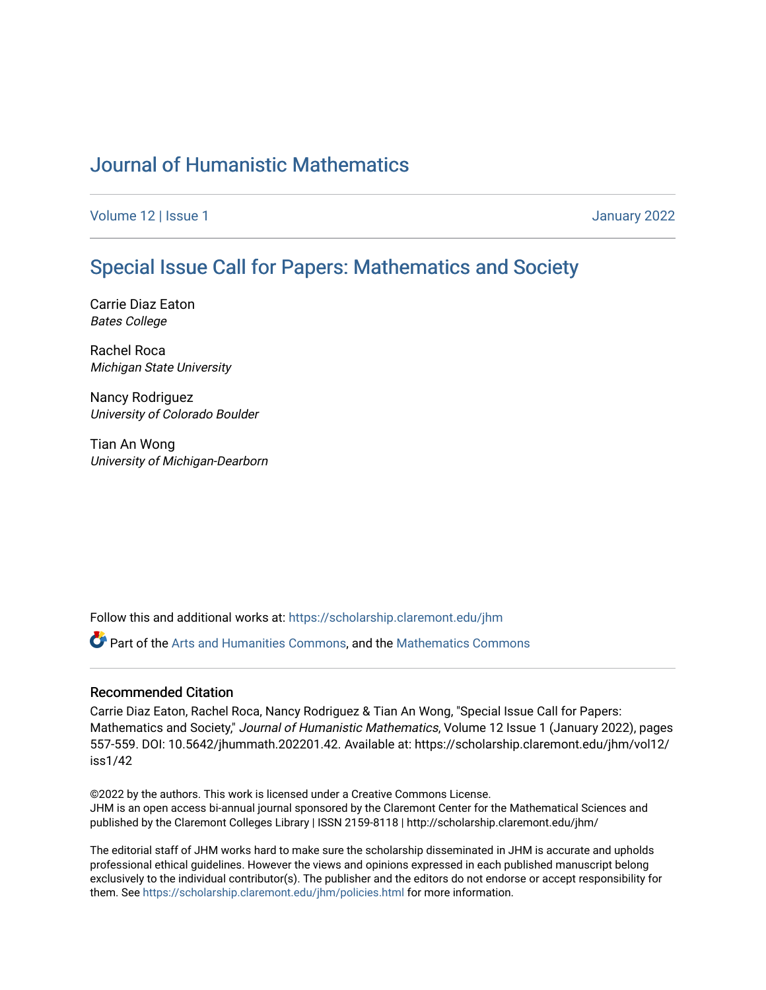## [Journal of Humanistic Mathematics](https://scholarship.claremont.edu/jhm)

[Volume 12](https://scholarship.claremont.edu/jhm/vol12) | Issue 1 January 2022

## [Special Issue Call for Papers: Mathematics and Society](https://scholarship.claremont.edu/jhm/vol12/iss1/42)

Carrie Diaz Eaton Bates College

Rachel Roca Michigan State University

Nancy Rodriguez University of Colorado Boulder

Tian An Wong University of Michigan-Dearborn

Follow this and additional works at: [https://scholarship.claremont.edu/jhm](https://scholarship.claremont.edu/jhm?utm_source=scholarship.claremont.edu%2Fjhm%2Fvol12%2Fiss1%2F42&utm_medium=PDF&utm_campaign=PDFCoverPages)

**P** Part of the [Arts and Humanities Commons,](http://network.bepress.com/hgg/discipline/438?utm_source=scholarship.claremont.edu%2Fjhm%2Fvol12%2Fiss1%2F42&utm_medium=PDF&utm_campaign=PDFCoverPages) and the Mathematics Commons

## Recommended Citation

Carrie Diaz Eaton, Rachel Roca, Nancy Rodriguez & Tian An Wong, "Special Issue Call for Papers: Mathematics and Society," Journal of Humanistic Mathematics, Volume 12 Issue 1 (January 2022), pages 557-559. DOI: 10.5642/jhummath.202201.42. Available at: https://scholarship.claremont.edu/jhm/vol12/ iss1/42

©2022 by the authors. This work is licensed under a Creative Commons License. JHM is an open access bi-annual journal sponsored by the Claremont Center for the Mathematical Sciences and published by the Claremont Colleges Library | ISSN 2159-8118 | http://scholarship.claremont.edu/jhm/

The editorial staff of JHM works hard to make sure the scholarship disseminated in JHM is accurate and upholds professional ethical guidelines. However the views and opinions expressed in each published manuscript belong exclusively to the individual contributor(s). The publisher and the editors do not endorse or accept responsibility for them. See<https://scholarship.claremont.edu/jhm/policies.html> for more information.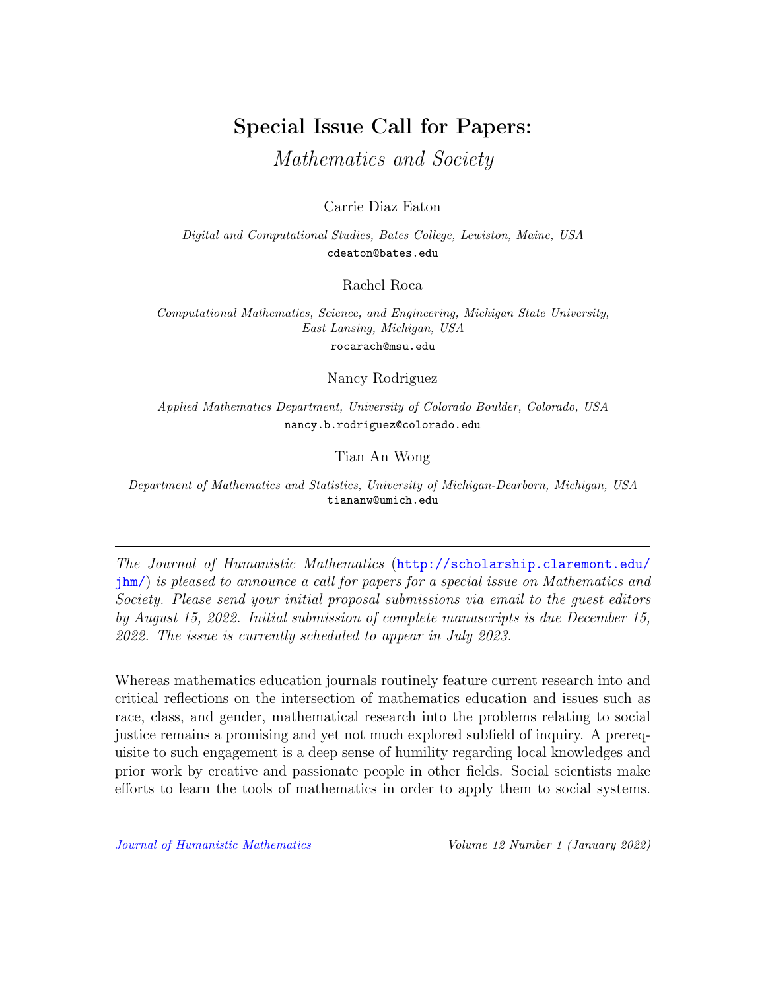## Special Issue Call for Papers:

Mathematics and Society

Carrie Diaz Eaton

Digital and Computational Studies, Bates College, Lewiston, Maine, USA cdeaton@bates.edu

Rachel Roca

Computational Mathematics, Science, and Engineering, Michigan State University, East Lansing, Michigan, USA

rocarach@msu.edu

Nancy Rodriguez

Applied Mathematics Department, University of Colorado Boulder, Colorado, USA nancy.b.rodriguez@colorado.edu

Tian An Wong

Department of Mathematics and Statistics, University of Michigan-Dearborn, Michigan, USA tiananw@umich.edu

The Journal of Humanistic Mathematics ([http://scholarship.claremont.edu/](http://scholarship.claremont.edu/jhm/) [jhm/](http://scholarship.claremont.edu/jhm/)) is pleased to announce a call for papers for a special issue on Mathematics and Society. Please send your initial proposal submissions via email to the guest editors by August 15, 2022. Initial submission of complete manuscripts is due December 15, 2022. The issue is currently scheduled to appear in July 2023.

Whereas mathematics education journals routinely feature current research into and critical reflections on the intersection of mathematics education and issues such as race, class, and gender, mathematical research into the problems relating to social justice remains a promising and yet not much explored subfield of inquiry. A prerequisite to such engagement is a deep sense of humility regarding local knowledges and prior work by creative and passionate people in other fields. Social scientists make efforts to learn the tools of mathematics in order to apply them to social systems.

[Journal of Humanistic Mathematics](http://scholarship.claremont.edu/jhm/) Volume 12 Number 1 (January 2022)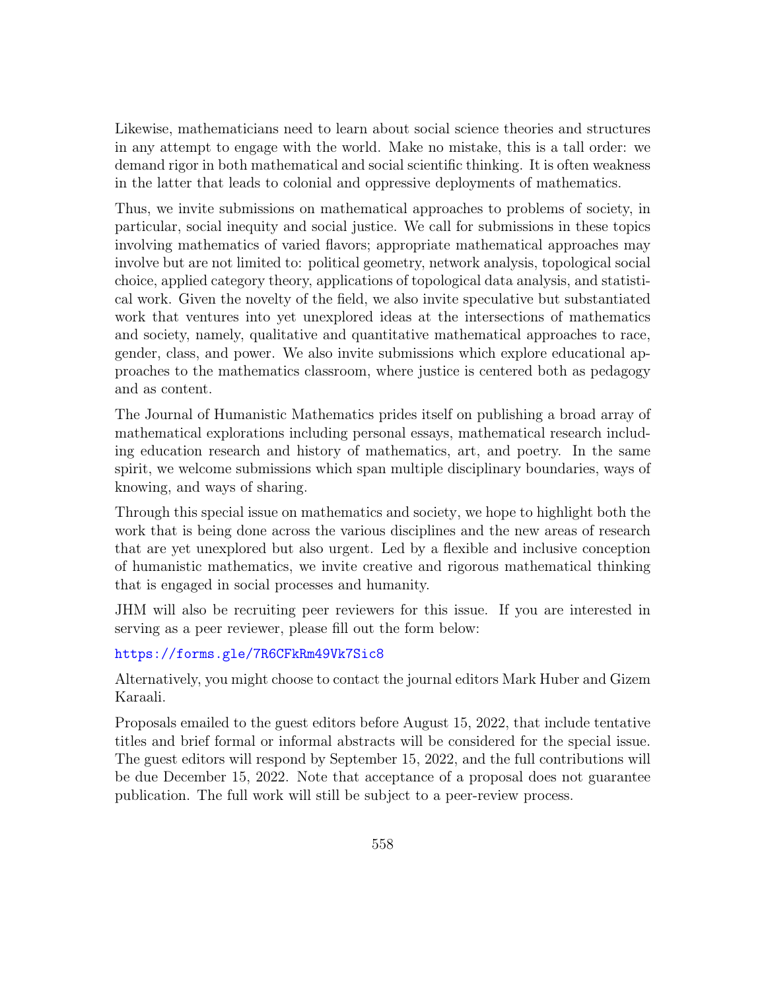Likewise, mathematicians need to learn about social science theories and structures in any attempt to engage with the world. Make no mistake, this is a tall order: we demand rigor in both mathematical and social scientific thinking. It is often weakness in the latter that leads to colonial and oppressive deployments of mathematics.

Thus, we invite submissions on mathematical approaches to problems of society, in particular, social inequity and social justice. We call for submissions in these topics involving mathematics of varied flavors; appropriate mathematical approaches may involve but are not limited to: political geometry, network analysis, topological social choice, applied category theory, applications of topological data analysis, and statistical work. Given the novelty of the field, we also invite speculative but substantiated work that ventures into yet unexplored ideas at the intersections of mathematics and society, namely, qualitative and quantitative mathematical approaches to race, gender, class, and power. We also invite submissions which explore educational approaches to the mathematics classroom, where justice is centered both as pedagogy and as content.

The Journal of Humanistic Mathematics prides itself on publishing a broad array of mathematical explorations including personal essays, mathematical research including education research and history of mathematics, art, and poetry. In the same spirit, we welcome submissions which span multiple disciplinary boundaries, ways of knowing, and ways of sharing.

Through this special issue on mathematics and society, we hope to highlight both the work that is being done across the various disciplines and the new areas of research that are yet unexplored but also urgent. Led by a flexible and inclusive conception of humanistic mathematics, we invite creative and rigorous mathematical thinking that is engaged in social processes and humanity.

JHM will also be recruiting peer reviewers for this issue. If you are interested in serving as a peer reviewer, please fill out the form below:

<https://forms.gle/7R6CFkRm49Vk7Sic8>

Alternatively, you might choose to contact the journal editors Mark Huber and Gizem Karaali.

Proposals emailed to the guest editors before August 15, 2022, that include tentative titles and brief formal or informal abstracts will be considered for the special issue. The guest editors will respond by September 15, 2022, and the full contributions will be due December 15, 2022. Note that acceptance of a proposal does not guarantee publication. The full work will still be subject to a peer-review process.